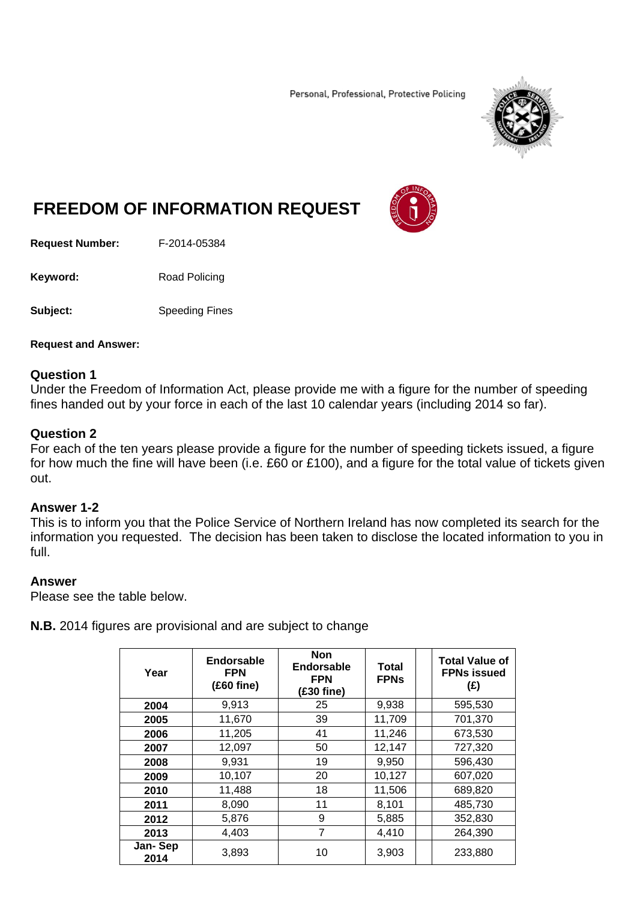Personal, Professional, Protective Policing



# **FREEDOM OF INFORMATION REQUEST**

**Request Number:** F-2014-05384

Keyword: Road Policing

**Subject:** Speeding Fines

#### **Request and Answer:**

#### **Question 1**

Under the Freedom of Information Act, please provide me with a figure for the number of speeding fines handed out by your force in each of the last 10 calendar years (including 2014 so far).

### **Question 2**

For each of the ten years please provide a figure for the number of speeding tickets issued, a figure for how much the fine will have been (i.e. £60 or £100), and a figure for the total value of tickets given out.

#### **Answer 1-2**

This is to inform you that the Police Service of Northern Ireland has now completed its search for the information you requested. The decision has been taken to disclose the located information to you in full.

#### **Answer**

Please see the table below.

**N.B.** 2014 figures are provisional and are subject to change

| Year            | Endorsable<br><b>FPN</b><br>$(£60$ fine) | <b>Non</b><br>Endorsable<br><b>FPN</b><br>(£30 fine) | Total<br><b>FPNs</b> | <b>Total Value of</b><br><b>FPNs issued</b><br>(E) |
|-----------------|------------------------------------------|------------------------------------------------------|----------------------|----------------------------------------------------|
| 2004            | 9,913                                    | 25                                                   | 9,938                | 595,530                                            |
| 2005            | 11,670                                   | 39                                                   | 11,709               | 701,370                                            |
| 2006            | 11,205                                   | 41                                                   | 11,246               | 673,530                                            |
| 2007            | 12,097                                   | 50                                                   | 12,147               | 727,320                                            |
| 2008            | 9,931                                    | 19                                                   | 9,950                | 596,430                                            |
| 2009            | 10,107                                   | 20                                                   | 10,127               | 607,020                                            |
| 2010            | 11,488                                   | 18                                                   | 11,506               | 689,820                                            |
| 2011            | 8,090                                    | 11                                                   | 8,101                | 485,730                                            |
| 2012            | 5,876                                    | 9                                                    | 5,885                | 352,830                                            |
| 2013            | 4,403                                    | 7                                                    | 4,410                | 264,390                                            |
| Jan-Sep<br>2014 | 3,893                                    | 10                                                   | 3,903                | 233,880                                            |